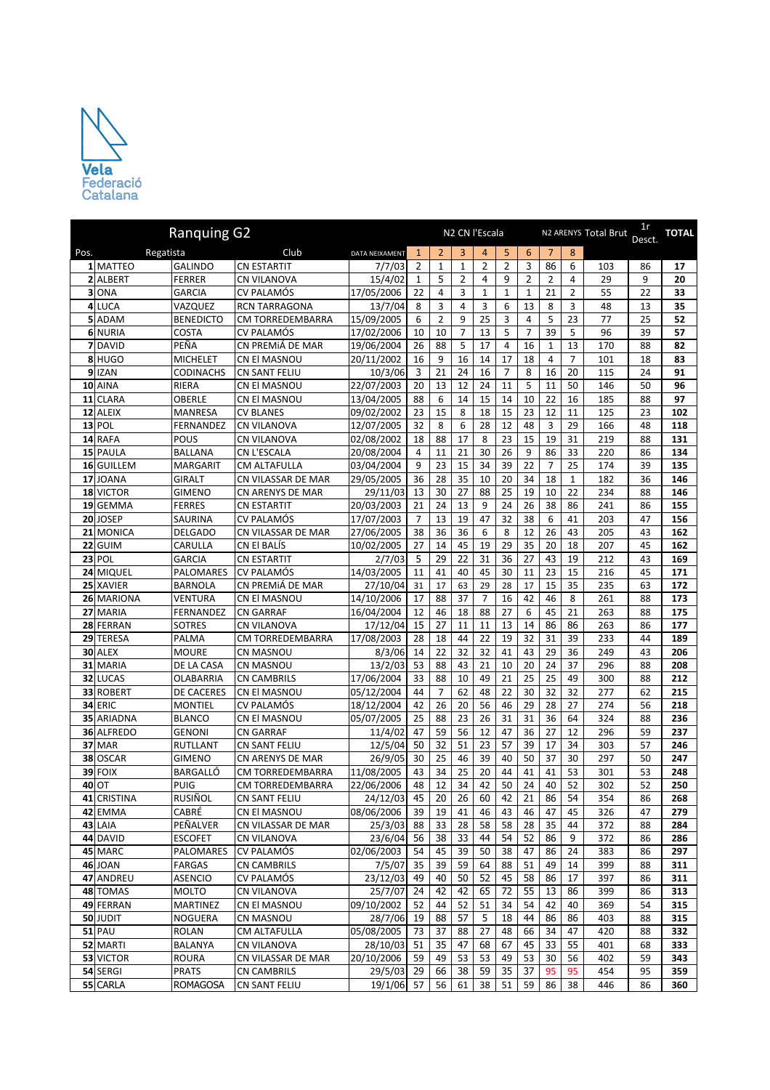

|      |                  | <b>Ranquing G2</b>               |                                      |                          |              |                |                | N2 CN l'Escala |                |                 |                |                | N2 ARENYS Total Brut | 1r<br>Desct. | <b>TOTAL</b> |
|------|------------------|----------------------------------|--------------------------------------|--------------------------|--------------|----------------|----------------|----------------|----------------|-----------------|----------------|----------------|----------------------|--------------|--------------|
| Pos. | Regatista        |                                  | Club                                 | DATA NEIXAMENT           | $\mathbf{1}$ | $\overline{2}$ | 3              | $\overline{4}$ | 5              | $6\phantom{1}6$ | 7              | 8              |                      |              |              |
|      | 1 MATTEO         | <b>GALINDO</b>                   | <b>CN ESTARTIT</b>                   | 7/7/03                   | 2            | $\mathbf{1}$   | $\mathbf{1}$   | 2              | $\overline{2}$ | 3               | 86             | 6              | 103                  | 86           | 17           |
|      | 2 ALBERT         | <b>FERRER</b>                    | CN VILANOVA                          | 15/4/02                  | 1            | 5              | 2              | 4              | 9              | 2               | 2              | 4              | 29                   | 9            | 20           |
|      | 3 ONA            | <b>GARCIA</b>                    | CV PALAMÓS                           | 17/05/2006               | 22           | $\overline{4}$ | 3              | $\mathbf{1}$   | $\mathbf{1}$   | $\mathbf{1}$    | 21             | $\overline{2}$ | 55                   | 22           | 33           |
|      | 4 LUCA           | VAZQUEZ                          | <b>RCN TARRAGONA</b>                 | 13/7/04                  | 8            | 3              | 4              | 3              | 6              | 13              | 8              | 3              | 48                   | 13           | 35           |
|      | 5 ADAM           | <b>BENEDICTO</b>                 | CM TORREDEMBARRA                     | 15/09/2005               | 6            | $\overline{2}$ | 9              | 25             | 3              | 4               | 5              | 23             | 77                   | 25           | 52           |
|      | 6 NURIA          | <b>COSTA</b>                     | CV PALAMÓS                           | 17/02/2006               | 10           | 10             | $\overline{7}$ | 13             | 5              | 7               | 39             | 5              | 96                   | 39           | 57           |
|      | 7 DAVID          | PEÑA                             | CN PREMIÁ DE MAR                     | 19/06/2004               | 26           | 88             | 5              | 17             | $\overline{4}$ | 16              | $\mathbf{1}$   | 13             | 170                  | 88           | 82           |
|      | 8 HUGO           | <b>MICHELET</b>                  | CN El MASNOU                         | 20/11/2002               | 16           | 9              | 16             | 14             | 17             | 18              | $\overline{4}$ | $\overline{7}$ | 101                  | 18           | 83           |
|      | 9 IZAN           | <b>CODINACHS</b>                 | <b>CN SANT FELIU</b>                 | 10/3/06                  | 3            | 21             | 24             | 16             | 7              | 8               | 16             | 20             | 115                  | 24           | 91           |
|      | 10 AINA          | RIERA                            | CN El MASNOU                         | 22/07/2003               | 20           | 13             | 12             | 24             | 11             | 5               | 11             | 50             | 146                  | 50           | 96           |
|      | 11 CLARA         | OBERLE                           | CN El MASNOU                         | 13/04/2005               | 88           | 6              | 14             | 15             | 14             | 10              | 22             | 16             | 185                  | 88           | 97           |
|      | 12 ALEIX         | <b>MANRESA</b>                   | <b>CV BLANES</b>                     | 09/02/2002               | 23           | 15             | 8              | 18             | 15             | 23              | 12             | 11             | 125                  | 23           | 102          |
|      | $13$ POL         | FERNANDEZ                        | <b>CN VILANOVA</b>                   | 12/07/2005               | 32           | 8              | 6              | 28             | 12             | 48              | 3              | 29             | 166                  | 48           | 118          |
|      | 14 RAFA          | POUS                             | <b>CN VILANOVA</b>                   | 02/08/2002               | 18           | 88             | 17             | 8              | 23             | 15              | 19             | 31             | 219                  | 88           | 131          |
|      | 15 PAULA         | <b>BALLANA</b>                   | CN L'ESCALA                          | 20/08/2004               | 4            | 11             | 21             | 30             | 26             | 9               | 86             | 33             | 220                  | 86           | 134          |
|      | 16 GUILLEM       | <b>MARGARIT</b>                  | <b>CM ALTAFULLA</b>                  | 03/04/2004               | 9            | 23             | 15             | 34             | 39             | 22              | 7              | 25             | 174                  | 39           | 135          |
|      | 17JJOANA         | <b>GIRALT</b>                    | CN VILASSAR DE MAR                   | 29/05/2005               | 36           | 28             | 35             | 10             | 20             | 34              | 18             | $\mathbf{1}$   | 182                  | 36           | 146          |
|      | 18 VICTOR        | <b>GIMENO</b>                    | CN ARENYS DE MAR                     | 29/11/03                 | 13           | 30             | 27             | 88             | 25             | 19              | 10             | 22             | 234                  | 88           | 146          |
|      | 19 GEMMA         | <b>FERRES</b>                    | <b>CN ESTARTIT</b>                   | 20/03/2003               | 21           | 24             | 13             | 9              | 24             | 26              | 38             | 86             | 241                  | 86           | 155          |
|      | 20JOSEP          | SAURINA                          | <b>CV PALAMÓS</b>                    | 17/07/2003               | 7            | 13             | 19             | 47             | 32             | 38              | 6              | 41             | 203                  | 47           | 156          |
|      | 21 MONICA        | <b>DELGADO</b>                   | CN VILASSAR DE MAR                   | 27/06/2005               | 38           | 36             | 36             | 6              | 8              | 12              | 26             | 43             | 205                  | 43           | 162          |
|      | 22 GUIM          | CARULLA                          | CN El BALÍS                          | 10/02/2005               | 27           | 14             | 45             | 19             | 29             | 35              | 20             | 18             | 207                  | 45           | 162          |
|      | <b>23 POL</b>    | <b>GARCIA</b>                    | <b>CN ESTARTIT</b>                   | 2/7/03                   | 5            | 29             | 22             | 31             | 36             | 27              | 43             | 19             | 212                  | 43           | 169          |
|      | 24 MIQUEL        | PALOMARES                        | <b>CV PALAMÓS</b>                    | 14/03/2005               | 11           | 41             | 40             | 45             | 30             | 11              | 23             | 15             | 216                  | 45           | 171          |
|      | 25 XAVIER        | <b>BARNOLA</b>                   | CN PREMIÁ DE MAR                     | 27/10/04                 | 31           | 17             | 63             | 29             | 28             | 17              | 15             | 35             | 235                  | 63           | 172          |
|      | 26 MARIONA       | VENTURA                          | CN El MASNOU                         | 14/10/2006               | 17           | 88             | 37             | $\overline{7}$ | 16             | 42              | 46             | 8              | 261                  | 88           | 173          |
|      | 27 MARIA         | FERNANDEZ                        | <b>CN GARRAF</b>                     | 16/04/2004               | 12           | 46             | 18             | 88             | 27             | 6               | 45             | 21             | 263                  | 88           | 175          |
|      | 28 FERRAN        | <b>SOTRES</b>                    | <b>CN VILANOVA</b>                   | 17/12/04                 | 15           | 27             | 11             | 11             | 13             | 14              | 86             | 86             | 263                  | 86           | 177          |
|      | 29 TERESA        | PALMA                            | CM TORREDEMBARRA                     | 17/08/2003               | 28           | 18             | 44             | 22             | 19             | 32              | 31             | 39             | 233                  | 44           | 189          |
|      | 30 ALEX          | <b>MOURE</b>                     | CN MASNOU                            | 8/3/06                   | 14           | 22             | 32             | 32             | 41             | 43              | 29             | 36             | 249                  | 43           | 206          |
|      | 31 MARIA         | DE LA CASA                       | CN MASNOU                            | 13/2/03                  | 53           | 88             | 43             | 21             | 10             | 20              | 24             | 37             | 296                  | 88           | 208          |
|      | 32 LUCAS         | <b>OLABARRIA</b>                 | <b>CN CAMBRILS</b>                   | 17/06/2004               | 33           | 88             | 10             | 49             | 21             | 25              | 25             | 49             | 300                  | 88           | 212          |
|      | 33 ROBERT        | <b>DE CACERES</b>                | CN El MASNOU                         | 05/12/2004               | 44           | $\overline{7}$ | 62             | 48             | 22             | 30              | 32             | 32             | 277                  | 62           | 215          |
|      | <b>34 ERIC</b>   | <b>MONTIEL</b>                   | <b>CV PALAMÓS</b>                    | 18/12/2004               | 42           | 26             | 20             | 56             | 46             | 29              | 28             | 27             | 274                  | 56           | 218          |
|      | 35 ARIADNA       | <b>BLANCO</b>                    | CN El MASNOU                         | 05/07/2005               | 25           | 88             | 23             | 26             | 31             | 31              | 36             | 64             | 324                  | 88           | 236          |
|      | 36 ALFREDO       | <b>GENONI</b>                    | <b>CN GARRAF</b>                     | 11/4/02                  | 47           | 59<br>32       | 56<br>51       | 12<br>23       | 47<br>57       | 36<br>39        | 27             | 12<br>34       | 296                  | 59           | 237          |
|      | <b>37 MAR</b>    | <b>RUTLLANT</b>                  | <b>CN SANT FELIU</b>                 | 12/5/04                  | 50<br>30     |                | 46             | 39             | 40             |                 | 17<br>37       |                | 303                  | 57           | 246<br>247   |
|      | 38 OSCAR         | <b>GIMENO</b><br><b>BARGALLÓ</b> | CN ARENYS DE MAR                     | 26/9/05                  | 43           | 25<br>34       | 25             |                | 44             | 50<br>41        | 41             | 30<br>53       | 297                  | 50           | 248          |
|      | 39 FOIX<br>40 OT | PUIG                             | CM TORREDEMBARRA<br>CM TORREDEMBARRA | 11/08/2005<br>22/06/2006 | 48           | 12             | 34             | 20<br>42       | 50             | 24              | 40             | 52             | 301<br>302           | 53<br>52     | 250          |
|      | 41 CRISTINA      | RUSIÑOL                          | <b>CN SANT FELIU</b>                 | 24/12/03                 | 45           | 20             | 26             | 60             | 42             | 21              | 86             | 54             | 354                  | 86           | 268          |
|      | 42 EMMA          | CABRÉ                            | <b>CN EI MASNOU</b>                  | 08/06/2006               | 39           | 19             | 41             | 46             | 43             | 46              | 47             | 45             | 326                  | 47           | 279          |
|      | 43 LAIA          | PEÑALVER                         | CN VILASSAR DE MAR                   | 25/3/03                  | 88           | 33             | 28             | 58             | 58             | 28              | 35             | 44             | 372                  | 88           | 284          |
|      | 44 DAVID         | <b>ESCOFET</b>                   | <b>CN VILANOVA</b>                   | 23/6/04                  | 56           | 38             | 33             | 44             | 54             | 52              | 86             | 9              | 372                  | 86           | 286          |
|      | 45 MARC          | PALOMARES                        | <b>CV PALAMÓS</b>                    | 02/06/2003               | 54           | 45             | 39             | 50             | 38             | 47              | 86             | 24             | 383                  | 86           | 297          |
|      | 46 JOAN          | <b>FARGAS</b>                    | <b>CN CAMBRILS</b>                   | 7/5/07                   | 35           | 39             | 59             | 64             | 88             | 51              | 49             | 14             | 399                  | 88           | 311          |
|      | 47 ANDREU        | ASENCIO                          | CV PALAMÓS                           | 23/12/03                 | 49           | 40             | 50             | 52             | 45             | 58              | 86             | 17             | 397                  | 86           | 311          |
|      | 48 TOMAS         | <b>MOLTO</b>                     | CN VILANOVA                          | 25/7/07                  | 24           | 42             | 42             | 65             | 72             | 55              | 13             | 86             | 399                  | 86           | 313          |
|      | 49 FERRAN        | <b>MARTINEZ</b>                  | CN El MASNOU                         | 09/10/2002               | 52           | 44             | 52             | 51             | 34             | 54              | 42             | 40             | 369                  | 54           | 315          |
|      | 50 JUDIT         | NOGUERA                          | CN MASNOU                            | 28/7/06                  | 19           | 88             | 57             | 5              | 18             | 44              | 86             | 86             | 403                  | 88           | 315          |
|      | $51$ PAU         | <b>ROLAN</b>                     | <b>CM ALTAFULLA</b>                  | 05/08/2005               | 73           | 37             | 88             | 27             | 48             | 66              | 34             | 47             | 420                  | 88           | 332          |
|      | 52 MARTI         | <b>BALANYA</b>                   | CN VILANOVA                          | 28/10/03                 | 51           | 35             | 47             | 68             | 67             | 45              | 33             | 55             | 401                  | 68           | 333          |
|      | 53 VICTOR        | <b>ROURA</b>                     | CN VILASSAR DE MAR                   | 20/10/2006               | 59           | 49             | 53             | 53             | 49             | 53              | 30             | 56             | 402                  | 59           | 343          |
|      | 54 SERGI         | <b>PRATS</b>                     | <b>CN CAMBRILS</b>                   | 29/5/03                  | 29           | 66             | 38             | 59             | 35             | 37              | 95             | 95             | 454                  | 95           | 359          |
|      | 55 CARLA         | <b>ROMAGOSA</b>                  | CN SANT FELIU                        | 19/1/06 57               |              | 56             | 61             | 38             | 51             | 59              | 86             | 38             | 446                  | 86           | 360          |